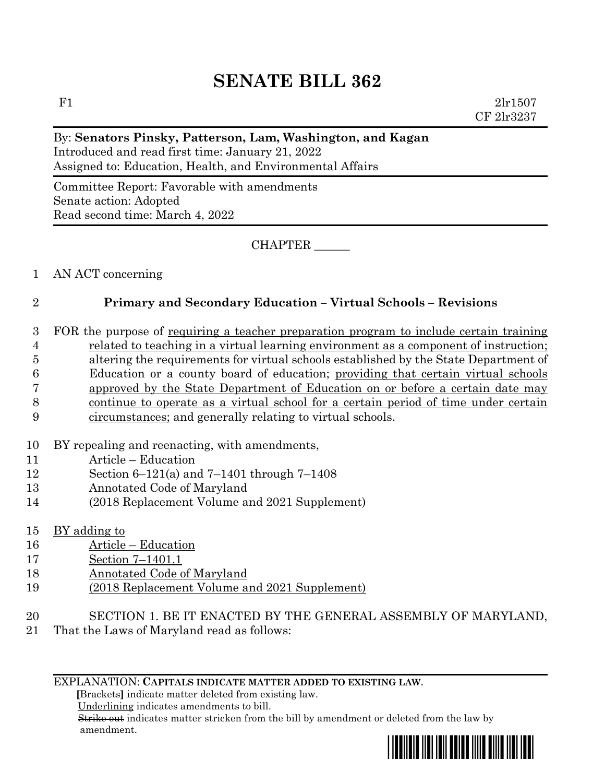F1  $2 \text{lr} 1507$ CF 2lr3237

#### By: **Senators Pinsky, Patterson, Lam, Washington, and Kagan**

Introduced and read first time: January 21, 2022 Assigned to: Education, Health, and Environmental Affairs

Committee Report: Favorable with amendments Senate action: Adopted Read second time: March 4, 2022

CHAPTER \_\_\_\_\_\_

#### 1 AN ACT concerning

#### 2 **Primary and Secondary Education – Virtual Schools – Revisions**

- 3 FOR the purpose of requiring a teacher preparation program to include certain training 4 related to teaching in a virtual learning environment as a component of instruction; 5 altering the requirements for virtual schools established by the State Department of 6 Education or a county board of education; providing that certain virtual schools 7 approved by the State Department of Education on or before a certain date may 8 continue to operate as a virtual school for a certain period of time under certain 9 circumstances; and generally relating to virtual schools.
- 10 BY repealing and reenacting, with amendments,
- 11 Article Education
- 12 Section 6–121(a) and 7–1401 through 7–1408
- 13 Annotated Code of Maryland
- 14 (2018 Replacement Volume and 2021 Supplement)
- 15 BY adding to
- 16 Article Education
- 17 Section 7–1401.1
- 18 Annotated Code of Maryland
- 19 (2018 Replacement Volume and 2021 Supplement)
- 20 SECTION 1. BE IT ENACTED BY THE GENERAL ASSEMBLY OF MARYLAND,
- 21 That the Laws of Maryland read as follows:

#### EXPLANATION: **CAPITALS INDICATE MATTER ADDED TO EXISTING LAW**.

 **[**Brackets**]** indicate matter deleted from existing law.

Underlining indicates amendments to bill.

 Strike out indicates matter stricken from the bill by amendment or deleted from the law by amendment.

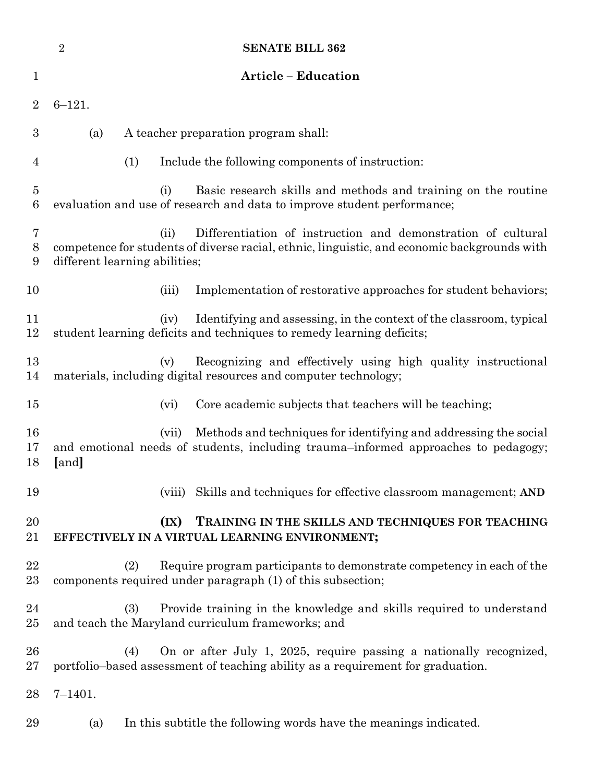|                     | $\sqrt{2}$<br><b>SENATE BILL 362</b>                                                                                                                                                                  |
|---------------------|-------------------------------------------------------------------------------------------------------------------------------------------------------------------------------------------------------|
| 1                   | <b>Article - Education</b>                                                                                                                                                                            |
| $\overline{2}$      | $6 - 121.$                                                                                                                                                                                            |
| 3                   | A teacher preparation program shall:<br>(a)                                                                                                                                                           |
| 4                   | (1)<br>Include the following components of instruction:                                                                                                                                               |
| $\overline{5}$<br>6 | Basic research skills and methods and training on the routine<br>(i)<br>evaluation and use of research and data to improve student performance;                                                       |
| 7<br>$8\,$<br>9     | Differentiation of instruction and demonstration of cultural<br>(ii)<br>competence for students of diverse racial, ethnic, linguistic, and economic backgrounds with<br>different learning abilities; |
| 10                  | Implementation of restorative approaches for student behaviors;<br>(iii)                                                                                                                              |
| 11<br>12            | Identifying and assessing, in the context of the classroom, typical<br>(iv)<br>student learning deficits and techniques to remedy learning deficits;                                                  |
| 13<br>14            | Recognizing and effectively using high quality instructional<br>(v)<br>materials, including digital resources and computer technology;                                                                |
| 15                  | Core academic subjects that teachers will be teaching;<br>(vi)                                                                                                                                        |
| 16<br>17<br>18      | Methods and techniques for identifying and addressing the social<br>(vii)<br>and emotional needs of students, including trauma-informed approaches to pedagogy;<br>[and]                              |
| 19                  | Skills and techniques for effective classroom management; AND<br>(viii)                                                                                                                               |
| 20<br>21            | $(\mathbf{IX})$<br>TRAINING IN THE SKILLS AND TECHNIQUES FOR TEACHING<br>EFFECTIVELY IN A VIRTUAL LEARNING ENVIRONMENT;                                                                               |
| 22<br>23            | (2)<br>Require program participants to demonstrate competency in each of the<br>components required under paragraph (1) of this subsection;                                                           |
| 24<br>25            | Provide training in the knowledge and skills required to understand<br>(3)<br>and teach the Maryland curriculum frameworks; and                                                                       |
| 26<br>27            | On or after July 1, 2025, require passing a nationally recognized,<br>(4)<br>portfolio-based assessment of teaching ability as a requirement for graduation.                                          |
| 28                  | $7 - 1401.$                                                                                                                                                                                           |
| 29                  | In this subtitle the following words have the meanings indicated.<br>(a)                                                                                                                              |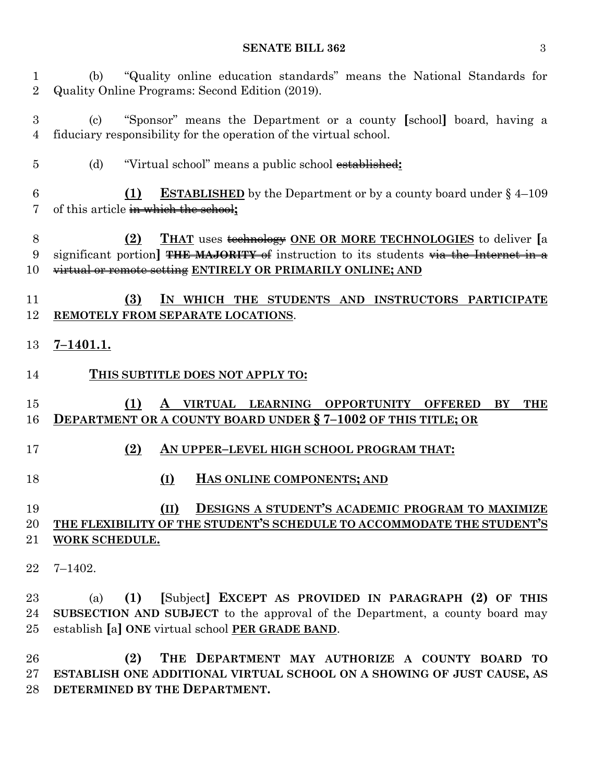#### **SENATE BILL 362** 3

 (b) "Quality online education standards" means the National Standards for Quality Online Programs: Second Edition (2019).

 (c) "Sponsor" means the Department or a county **[**school**]** board, having a fiduciary responsibility for the operation of the virtual school.

(d) "Virtual school" means a public school established**:**

## **(1) ESTABLISHED** by the Department or by a county board under § 4–109 of this article in which the school**;**

### **(2) THAT** uses technology **ONE OR MORE TECHNOLOGIES** to deliver **[**a significant portion**] THE MAJORITY** of instruction to its students via the Internet in a virtual or remote setting **ENTIRELY OR PRIMARILY ONLINE; AND**

#### **(3) IN WHICH THE STUDENTS AND INSTRUCTORS PARTICIPATE REMOTELY FROM SEPARATE LOCATIONS**.

#### **7–1401.1.**

**THIS SUBTITLE DOES NOT APPLY TO:**

## **(1) A VIRTUAL LEARNING OPPORTUNITY OFFERED BY THE DEPARTMENT OR A COUNTY BOARD UNDER § 7–1002 OF THIS TITLE; OR**

- **(2) AN UPPER–LEVEL HIGH SCHOOL PROGRAM THAT:**
- **(I) HAS ONLINE COMPONENTS; AND**

### **(II) DESIGNS A STUDENT'S ACADEMIC PROGRAM TO MAXIMIZE THE FLEXIBILITY OF THE STUDENT'S SCHEDULE TO ACCOMMODATE THE STUDENT'S WORK SCHEDULE.**

7–1402.

 (a) **(1) [**Subject**] EXCEPT AS PROVIDED IN PARAGRAPH (2) OF THIS SUBSECTION AND SUBJECT** to the approval of the Department, a county board may establish **[**a**] ONE** virtual school **PER GRADE BAND**.

 **(2) THE DEPARTMENT MAY AUTHORIZE A COUNTY BOARD TO ESTABLISH ONE ADDITIONAL VIRTUAL SCHOOL ON A SHOWING OF JUST CAUSE, AS DETERMINED BY THE DEPARTMENT.**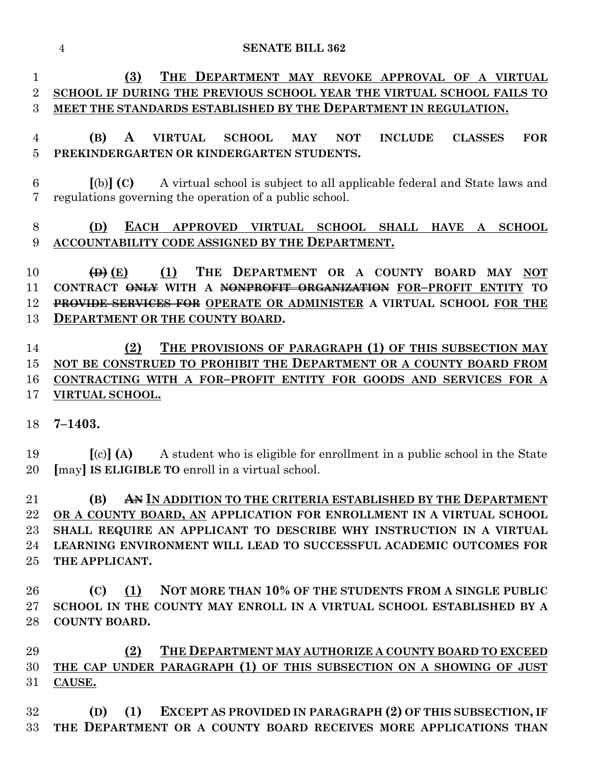**(3) THE DEPARTMENT MAY REVOKE APPROVAL OF A VIRTUAL SCHOOL IF DURING THE PREVIOUS SCHOOL YEAR THE VIRTUAL SCHOOL FAILS TO MEET THE STANDARDS ESTABLISHED BY THE DEPARTMENT IN REGULATION.**

# **(B) A VIRTUAL SCHOOL MAY NOT INCLUDE CLASSES FOR PREKINDERGARTEN OR KINDERGARTEN STUDENTS.**

 **[**(b)**] (C)** A virtual school is subject to all applicable federal and State laws and regulations governing the operation of a public school.

# **(D) EACH APPROVED VIRTUAL SCHOOL SHALL HAVE A SCHOOL ACCOUNTABILITY CODE ASSIGNED BY THE DEPARTMENT.**

 **(D) (E) (1) THE DEPARTMENT OR A COUNTY BOARD MAY NOT CONTRACT ONLY WITH A NONPROFIT ORGANIZATION FOR–PROFIT ENTITY TO PROVIDE SERVICES FOR OPERATE OR ADMINISTER A VIRTUAL SCHOOL FOR THE DEPARTMENT OR THE COUNTY BOARD.**

 **(2) THE PROVISIONS OF PARAGRAPH (1) OF THIS SUBSECTION MAY**  15 NOT BE CONSTRUED TO PROHIBIT THE **DEPARTMENT OR A COUNTY BOARD FROM CONTRACTING WITH A FOR–PROFIT ENTITY FOR GOODS AND SERVICES FOR A VIRTUAL SCHOOL.**

**7–1403.**

 **[**(c)**] (A)** A student who is eligible for enrollment in a public school in the State **[**may**] IS ELIGIBLE TO** enroll in a virtual school.

 **(B) AN IN ADDITION TO THE CRITERIA ESTABLISHED BY THE DEPARTMENT OR A COUNTY BOARD, AN APPLICATION FOR ENROLLMENT IN A VIRTUAL SCHOOL SHALL REQUIRE AN APPLICANT TO DESCRIBE WHY INSTRUCTION IN A VIRTUAL LEARNING ENVIRONMENT WILL LEAD TO SUCCESSFUL ACADEMIC OUTCOMES FOR THE APPLICANT.**

 **(C) (1) NOT MORE THAN 10% OF THE STUDENTS FROM A SINGLE PUBLIC SCHOOL IN THE COUNTY MAY ENROLL IN A VIRTUAL SCHOOL ESTABLISHED BY A COUNTY BOARD.**

**(2) THE DEPARTMENT MAY AUTHORIZE A COUNTY BOARD TO EXCEED THE CAP UNDER PARAGRAPH (1) OF THIS SUBSECTION ON A SHOWING OF JUST CAUSE.**

 **(D) (1) EXCEPT AS PROVIDED IN PARAGRAPH (2) OF THIS SUBSECTION, IF THE DEPARTMENT OR A COUNTY BOARD RECEIVES MORE APPLICATIONS THAN**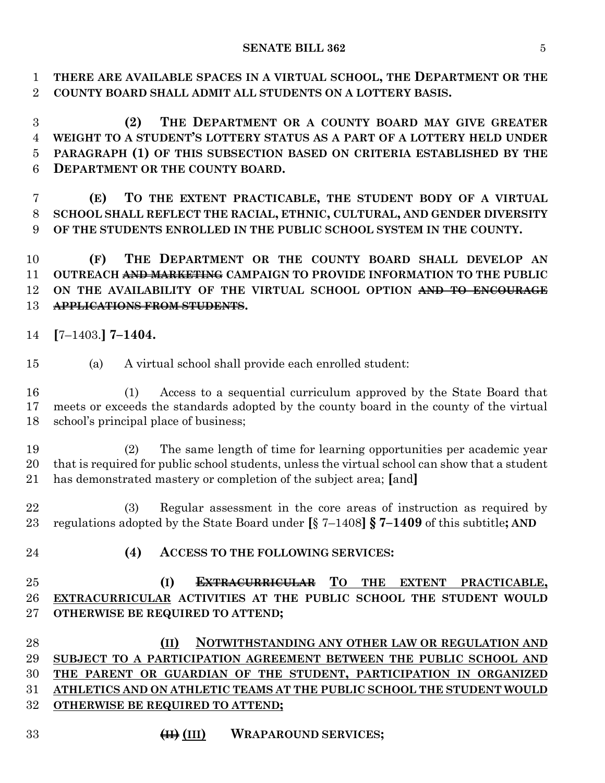**THERE ARE AVAILABLE SPACES IN A VIRTUAL SCHOOL, THE DEPARTMENT OR THE COUNTY BOARD SHALL ADMIT ALL STUDENTS ON A LOTTERY BASIS.**

 **(2) THE DEPARTMENT OR A COUNTY BOARD MAY GIVE GREATER WEIGHT TO A STUDENT'S LOTTERY STATUS AS A PART OF A LOTTERY HELD UNDER PARAGRAPH (1) OF THIS SUBSECTION BASED ON CRITERIA ESTABLISHED BY THE DEPARTMENT OR THE COUNTY BOARD.**

 **(E) TO THE EXTENT PRACTICABLE, THE STUDENT BODY OF A VIRTUAL SCHOOL SHALL REFLECT THE RACIAL, ETHNIC, CULTURAL, AND GENDER DIVERSITY OF THE STUDENTS ENROLLED IN THE PUBLIC SCHOOL SYSTEM IN THE COUNTY.**

 **(F) THE DEPARTMENT OR THE COUNTY BOARD SHALL DEVELOP AN OUTREACH AND MARKETING CAMPAIGN TO PROVIDE INFORMATION TO THE PUBLIC ON THE AVAILABILITY OF THE VIRTUAL SCHOOL OPTION AND TO ENCOURAGE APPLICATIONS FROM STUDENTS.**

- **[**7–1403.**] 7–1404.**
- (a) A virtual school shall provide each enrolled student:
- (1) Access to a sequential curriculum approved by the State Board that meets or exceeds the standards adopted by the county board in the county of the virtual school's principal place of business;

 (2) The same length of time for learning opportunities per academic year that is required for public school students, unless the virtual school can show that a student has demonstrated mastery or completion of the subject area; **[**and**]**

 (3) Regular assessment in the core areas of instruction as required by regulations adopted by the State Board under **[**§ 7–1408**] § 7–1409** of this subtitle**; AND**

- 
- **(4) ACCESS TO THE FOLLOWING SERVICES:**

 **(I) EXTRACURRICULAR TO THE EXTENT PRACTICABLE, EXTRACURRICULAR ACTIVITIES AT THE PUBLIC SCHOOL THE STUDENT WOULD OTHERWISE BE REQUIRED TO ATTEND;**

 **(II) NOTWITHSTANDING ANY OTHER LAW OR REGULATION AND SUBJECT TO A PARTICIPATION AGREEMENT BETWEEN THE PUBLIC SCHOOL AND THE PARENT OR GUARDIAN OF THE STUDENT, PARTICIPATION IN ORGANIZED ATHLETICS AND ON ATHLETIC TEAMS AT THE PUBLIC SCHOOL THE STUDENT WOULD OTHERWISE BE REQUIRED TO ATTEND;**

**(II) (III) WRAPAROUND SERVICES;**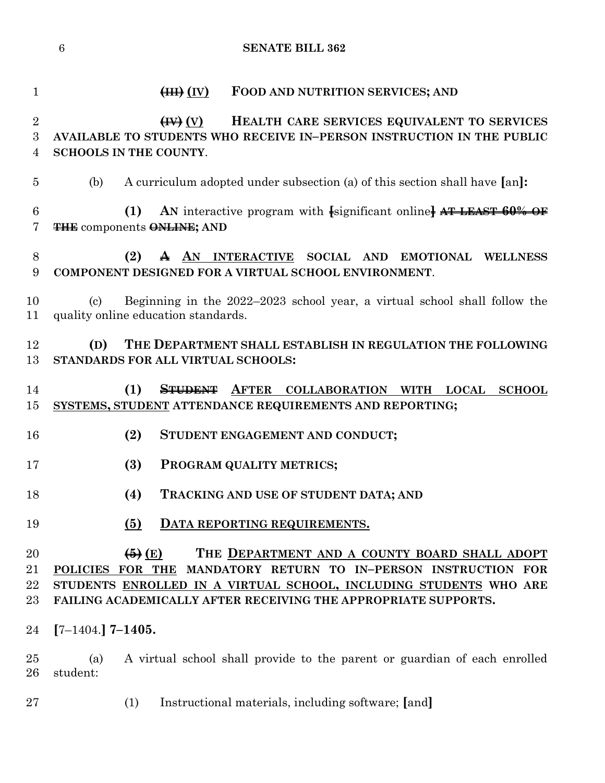| $\mathbf{1}$                          | (HH)(IV)<br>FOOD AND NUTRITION SERVICES; AND                                                                                                                                                                                                                                                   |
|---------------------------------------|------------------------------------------------------------------------------------------------------------------------------------------------------------------------------------------------------------------------------------------------------------------------------------------------|
| $\overline{2}$<br>3<br>$\overline{4}$ | $\left(\mathbf{W}\right)\left(\mathbf{V}\right)$<br>HEALTH CARE SERVICES EQUIVALENT TO SERVICES<br>AVAILABLE TO STUDENTS WHO RECEIVE IN-PERSON INSTRUCTION IN THE PUBLIC<br><b>SCHOOLS IN THE COUNTY.</b>                                                                                      |
| $\overline{5}$                        | (b)<br>A curriculum adopted under subsection (a) of this section shall have [an]:                                                                                                                                                                                                              |
| 6<br>7                                | AN interactive program with [significant online] AT LEAST 60% OF<br>(1)<br><b>THE components ONLINE; AND</b>                                                                                                                                                                                   |
| 8<br>9                                | A AN INTERACTIVE SOCIAL AND EMOTIONAL WELLNESS<br>(2)<br>COMPONENT DESIGNED FOR A VIRTUAL SCHOOL ENVIRONMENT.                                                                                                                                                                                  |
| 10<br>11                              | Beginning in the 2022–2023 school year, a virtual school shall follow the<br>$\left( \mathrm{c} \right)$<br>quality online education standards.                                                                                                                                                |
| 12<br>13                              | THE DEPARTMENT SHALL ESTABLISH IN REGULATION THE FOLLOWING<br>(D)<br>STANDARDS FOR ALL VIRTUAL SCHOOLS:                                                                                                                                                                                        |
| 14<br>15                              | (1)<br><b>AFTER</b><br><del>STUDENT</del><br>COLLABORATION WITH LOCAL<br><b>SCHOOL</b><br>SYSTEMS, STUDENT ATTENDANCE REQUIREMENTS AND REPORTING;                                                                                                                                              |
| 16                                    | (2)<br>STUDENT ENGAGEMENT AND CONDUCT;                                                                                                                                                                                                                                                         |
| 17                                    | (3)<br>PROGRAM QUALITY METRICS;                                                                                                                                                                                                                                                                |
| 18                                    | (4)<br>TRACKING AND USE OF STUDENT DATA; AND                                                                                                                                                                                                                                                   |
| 19                                    | $\left(5\right)$<br><b>DATA REPORTING REQUIREMENTS.</b>                                                                                                                                                                                                                                        |
| 20<br>21<br>$22\,$<br>23              | $\left(\frac{5}{2}\right)(E)$<br>THE DEPARTMENT AND A COUNTY BOARD SHALL ADOPT<br>POLICIES FOR THE MANDATORY RETURN TO IN-PERSON INSTRUCTION FOR<br>STUDENTS ENROLLED IN A VIRTUAL SCHOOL, INCLUDING STUDENTS WHO ARE<br><b>FAILING ACADEMICALLY AFTER RECEIVING THE APPROPRIATE SUPPORTS.</b> |
| 24                                    | $[7-1404.]$ 7-1405.                                                                                                                                                                                                                                                                            |
| 25<br>26                              | A virtual school shall provide to the parent or guardian of each enrolled<br>(a)<br>student:                                                                                                                                                                                                   |
| $27\,$                                | Instructional materials, including software; [and]<br>(1)                                                                                                                                                                                                                                      |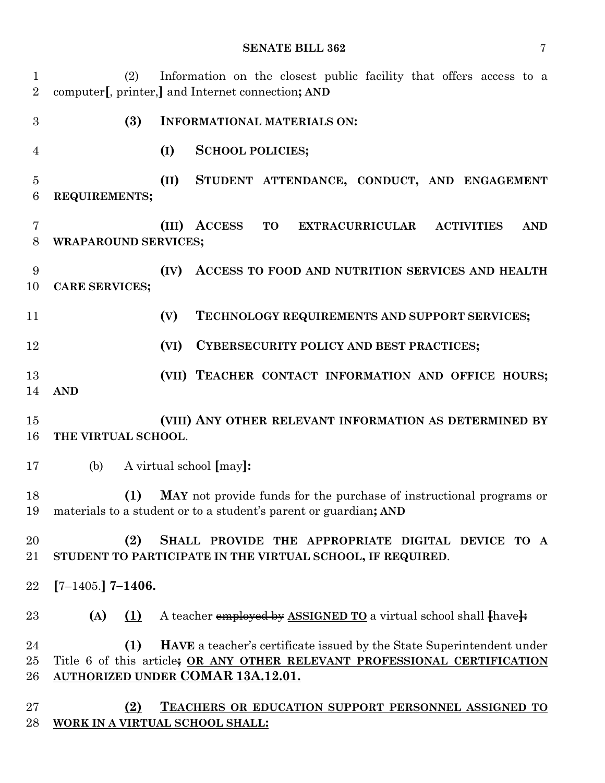#### **SENATE BILL 362** 7

 (2) Information on the closest public facility that offers access to a computer**[**, printer,**]** and Internet connection**; AND (3) INFORMATIONAL MATERIALS ON: (I) SCHOOL POLICIES; (II) STUDENT ATTENDANCE, CONDUCT, AND ENGAGEMENT REQUIREMENTS; (III) ACCESS TO EXTRACURRICULAR ACTIVITIES AND WRAPAROUND SERVICES; (IV) ACCESS TO FOOD AND NUTRITION SERVICES AND HEALTH CARE SERVICES; (V) TECHNOLOGY REQUIREMENTS AND SUPPORT SERVICES; (VI) CYBERSECURITY POLICY AND BEST PRACTICES; (VII) TEACHER CONTACT INFORMATION AND OFFICE HOURS; AND (VIII) ANY OTHER RELEVANT INFORMATION AS DETERMINED BY THE VIRTUAL SCHOOL**. (b) A virtual school **[**may**]: (1) MAY** not provide funds for the purchase of instructional programs or materials to a student or to a student's parent or guardian**; AND (2) SHALL PROVIDE THE APPROPRIATE DIGITAL DEVICE TO A STUDENT TO PARTICIPATE IN THE VIRTUAL SCHOOL, IF REQUIRED**. **[**7–1405.**] 7–1406. (A) (1)** A teacher employed by **ASSIGNED TO** a virtual school shall **[**have**]: (1) HAVE** a teacher's certificate issued by the State Superintendent under Title 6 of this article**; OR ANY OTHER RELEVANT PROFESSIONAL CERTIFICATION AUTHORIZED UNDER COMAR 13A.12.01. (2) TEACHERS OR EDUCATION SUPPORT PERSONNEL ASSIGNED TO WORK IN A VIRTUAL SCHOOL SHALL:**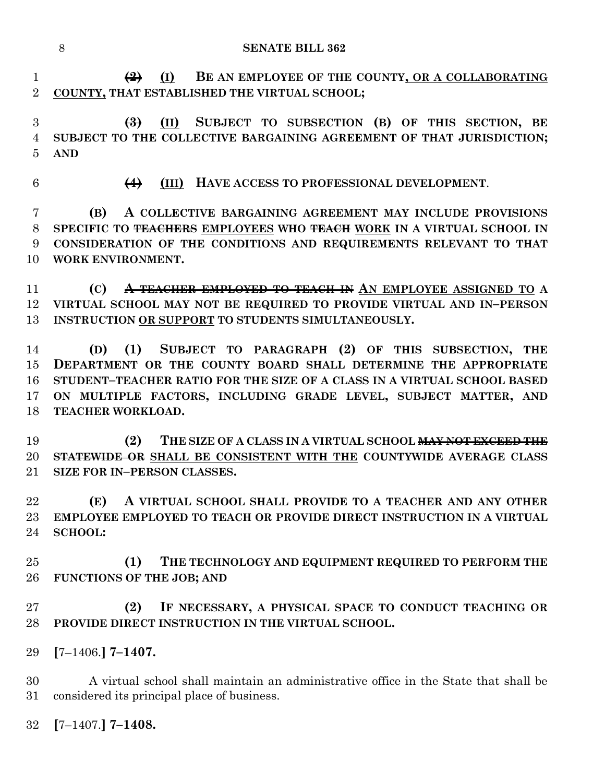**(2) (I) BE AN EMPLOYEE OF THE COUNTY, OR A COLLABORATING COUNTY, THAT ESTABLISHED THE VIRTUAL SCHOOL;**

 **(3) (II) SUBJECT TO SUBSECTION (B) OF THIS SECTION, BE SUBJECT TO THE COLLECTIVE BARGAINING AGREEMENT OF THAT JURISDICTION; AND**

**(4) (III) HAVE ACCESS TO PROFESSIONAL DEVELOPMENT**.

 **(B) A COLLECTIVE BARGAINING AGREEMENT MAY INCLUDE PROVISIONS SPECIFIC TO TEACHERS EMPLOYEES WHO TEACH WORK IN A VIRTUAL SCHOOL IN CONSIDERATION OF THE CONDITIONS AND REQUIREMENTS RELEVANT TO THAT WORK ENVIRONMENT.**

 **(C) A TEACHER EMPLOYED TO TEACH IN AN EMPLOYEE ASSIGNED TO A VIRTUAL SCHOOL MAY NOT BE REQUIRED TO PROVIDE VIRTUAL AND IN–PERSON INSTRUCTION OR SUPPORT TO STUDENTS SIMULTANEOUSLY.**

 **(D) (1) SUBJECT TO PARAGRAPH (2) OF THIS SUBSECTION, THE DEPARTMENT OR THE COUNTY BOARD SHALL DETERMINE THE APPROPRIATE STUDENT–TEACHER RATIO FOR THE SIZE OF A CLASS IN A VIRTUAL SCHOOL BASED ON MULTIPLE FACTORS, INCLUDING GRADE LEVEL, SUBJECT MATTER, AND TEACHER WORKLOAD.**

 **(2) THE SIZE OF A CLASS IN A VIRTUAL SCHOOL MAY NOT EXCEED THE STATEWIDE OR SHALL BE CONSISTENT WITH THE COUNTYWIDE AVERAGE CLASS SIZE FOR IN–PERSON CLASSES.**

 **(E) A VIRTUAL SCHOOL SHALL PROVIDE TO A TEACHER AND ANY OTHER EMPLOYEE EMPLOYED TO TEACH OR PROVIDE DIRECT INSTRUCTION IN A VIRTUAL SCHOOL:**

 **(1) THE TECHNOLOGY AND EQUIPMENT REQUIRED TO PERFORM THE FUNCTIONS OF THE JOB; AND**

 **(2) IF NECESSARY, A PHYSICAL SPACE TO CONDUCT TEACHING OR PROVIDE DIRECT INSTRUCTION IN THE VIRTUAL SCHOOL.**

**[**7–1406.**] 7–1407.**

 A virtual school shall maintain an administrative office in the State that shall be considered its principal place of business.

**[**7–1407.**] 7–1408.**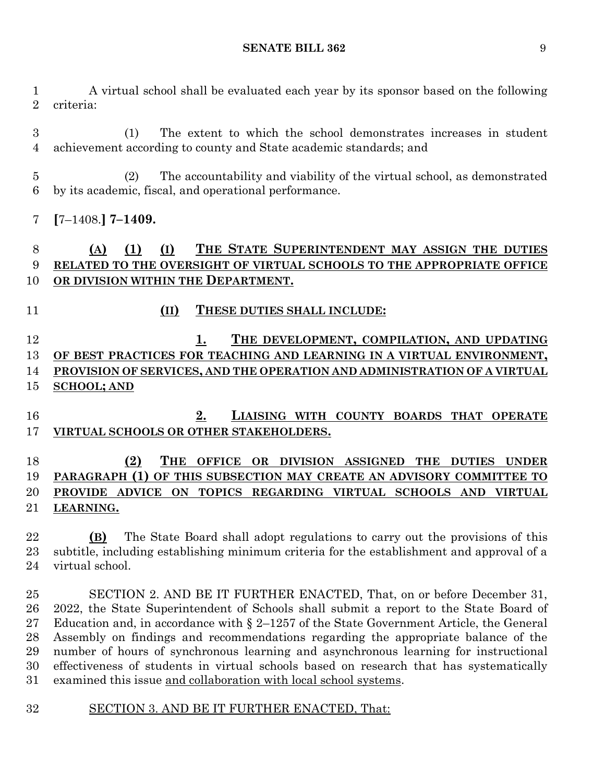A virtual school shall be evaluated each year by its sponsor based on the following criteria:

 (1) The extent to which the school demonstrates increases in student achievement according to county and State academic standards; and

 (2) The accountability and viability of the virtual school, as demonstrated by its academic, fiscal, and operational performance.

**[**7–1408.**] 7–1409.**

# **(A) (1) (I) THE STATE SUPERINTENDENT MAY ASSIGN THE DUTIES RELATED TO THE OVERSIGHT OF VIRTUAL SCHOOLS TO THE APPROPRIATE OFFICE**  10 OR DIVISION WITHIN THE **DEPARTMENT**.

**(II) THESE DUTIES SHALL INCLUDE:**

 **1. THE DEVELOPMENT, COMPILATION, AND UPDATING OF BEST PRACTICES FOR TEACHING AND LEARNING IN A VIRTUAL ENVIRONMENT, PROVISION OF SERVICES, AND THE OPERATION AND ADMINISTRATION OF A VIRTUAL SCHOOL; AND**

 **2. LIAISING WITH COUNTY BOARDS THAT OPERATE VIRTUAL SCHOOLS OR OTHER STAKEHOLDERS.**

# **(2) THE OFFICE OR DIVISION ASSIGNED THE DUTIES UNDER PARAGRAPH (1) OF THIS SUBSECTION MAY CREATE AN ADVISORY COMMITTEE TO PROVIDE ADVICE ON TOPICS REGARDING VIRTUAL SCHOOLS AND VIRTUAL LEARNING.**

 **(B)** The State Board shall adopt regulations to carry out the provisions of this subtitle, including establishing minimum criteria for the establishment and approval of a virtual school.

 SECTION 2. AND BE IT FURTHER ENACTED, That, on or before December 31, 2022, the State Superintendent of Schools shall submit a report to the State Board of 27 Education and, in accordance with  $\S 2$ –1257 of the State Government Article, the General Assembly on findings and recommendations regarding the appropriate balance of the number of hours of synchronous learning and asynchronous learning for instructional effectiveness of students in virtual schools based on research that has systematically examined this issue and collaboration with local school systems.

# SECTION 3. AND BE IT FURTHER ENACTED, That: